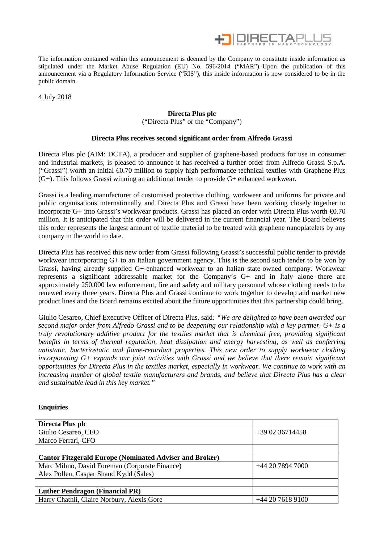

The information contained within this announcement is deemed by the Company to constitute inside information as stipulated under the Market Abuse Regulation (EU) No. 596/2014 ("MAR"). Upon the publication of this announcement via a Regulatory Information Service ("RIS"), this inside information is now considered to be in the public domain.

4 July 2018

## **Directa Plus plc**

("Directa Plus" or the "Company")

## **Directa Plus receives second significant order from Alfredo Grassi**

Directa Plus plc (AIM: DCTA), a producer and supplier of graphene-based products for use in consumer and industrial markets, is pleased to announce it has received a further order from Alfredo Grassi S.p.A. ("Grassi") worth an initial €0.70 million to supply high performance technical textiles with Graphene Plus (G+). This follows Grassi winning an additional tender to provide G+ enhanced workwear.

Grassi is a leading manufacturer of customised protective clothing, workwear and uniforms for private and public organisations internationally and Directa Plus and Grassi have been working closely together to incorporate G+ into Grassi's workwear products. Grassi has placed an order with Directa Plus worth  $\epsilon$ 0.70 million. It is anticipated that this order will be delivered in the current financial year. The Board believes this order represents the largest amount of textile material to be treated with graphene nanoplatelets by any company in the world to date.

Directa Plus has received this new order from Grassi following Grassi's successful public tender to provide workwear incorporating G+ to an Italian government agency. This is the second such tender to be won by Grassi, having already supplied G+-enhanced workwear to an Italian state-owned company. Workwear represents a significant addressable market for the Company's G+ and in Italy alone there are approximately 250,000 law enforcement, fire and safety and military personnel whose clothing needs to be renewed every three years. Directa Plus and Grassi continue to work together to develop and market new product lines and the Board remains excited about the future opportunities that this partnership could bring.

Giulio Cesareo, Chief Executive Officer of Directa Plus, said*: "We are delighted to have been awarded our second major order from Alfredo Grassi and to be deepening our relationship with a key partner. G+ is a truly revolutionary additive product for the textiles market that is chemical free, providing significant benefits in terms of thermal regulation, heat dissipation and energy harvesting, as well as conferring antistatic, bacteriostatic and flame-retardant properties. This new order to supply workwear clothing incorporating G+ expands our joint activities with Grassi and we believe that there remain significant opportunities for Directa Plus in the textiles market, especially in workwear. We continue to work with an increasing number of global textile manufacturers and brands, and believe that Directa Plus has a clear and sustainable lead in this key market."*

## **Enquiries**

| Directa Plus plc                                               |                  |
|----------------------------------------------------------------|------------------|
| Giulio Cesareo, CEO                                            | $+390236714458$  |
| Marco Ferrari, CFO                                             |                  |
|                                                                |                  |
| <b>Cantor Fitzgerald Europe (Nominated Adviser and Broker)</b> |                  |
| Marc Milmo, David Foreman (Corporate Finance)                  | +44 20 7894 7000 |
| Alex Pollen, Caspar Shand Kydd (Sales)                         |                  |
|                                                                |                  |
| <b>Luther Pendragon (Financial PR)</b>                         |                  |
| Harry Chathli, Claire Norbury, Alexis Gore                     | +44 20 7618 9100 |